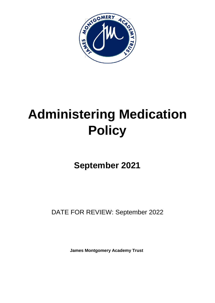

# **Administering Medication Policy**

**September 2021**

DATE FOR REVIEW: September 2022

**James Montgomery Academy Trust**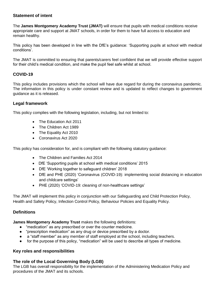# **Statement of intent**

The **James Montgomery Academy Trust (JMAT)** will ensure that pupils with medical conditions receive appropriate care and support at JMAT schools, in order for them to have full access to education and remain healthy.

This policy has been developed in line with the DfE's guidance: 'Supporting pupils at school with medical conditions'.

The JMAT is committed to ensuring that parents/carers feel confident that we will provide effective support for their child's medical condition, and make the pupil feel safe whilst at school.

# **COVID-19**

This policy includes provisions which the school will have due regard for during the coronavirus pandemic. The information in this policy is under constant review and is updated to reflect changes to government guidance as it is released.

# **Legal framework**

This policy complies with the following legislation, including, but not limited to:

- The Education Act 2011
- The Children Act 1989
- The Equality Act 2010
- Coronavirus Act 2020

This policy has consideration for, and is compliant with the following statutory guidance:

- The Children and Families Act 2014
- DfE 'Supporting pupils at school with medical conditions' 2015
- DfE 'Working together to safeguard children' 2018
- DfE and PHE (2020) 'Coronavirus (COVID-19): implementing social distancing in education and childcare settings'
- PHE (2020) 'COVID-19: cleaning of non-healthcare settings'

The JMAT will implement this policy in conjunction with our Safeguarding and Child Protection Policy, Health and Safety Policy, Infection Control Policy, Behaviour Policies and Equality Policy.

# **Definitions**

**James Montgomery Academy Trust** makes the following definitions:

- "medication" as any prescribed or over the counter medicine.
- "prescription medication" as any drug or device prescribed by a doctor.
- a "staff member" as any member of staff employed at the school, including teachers.
- for the purpose of this policy, "medication" will be used to describe all types of medicine.

# **Key roles and responsibilities**

# **The role of the Local Governing Body (LGB)**

The LGB has overall responsibility for the implementation of the Administering Medication Policy and procedures of the JMAT and its schools.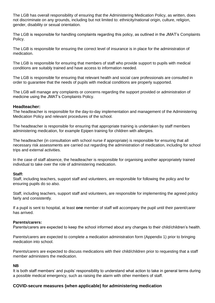The LGB has overall responsibility of ensuring that the Administering Medication Policy, as written, does not discriminate on any grounds, including but not limited to: ethnicity/national origin, culture, religion, gender, disability or sexual orientation.

The LGB is responsible for handling complaints regarding this policy, as outlined in the JMAT's Complaints Policy.

The LGB is responsible for ensuring the correct level of insurance is in place for the administration of medication.

The LGB is responsible for ensuring that members of staff who provide support to pupils with medical conditions are suitably trained and have access to information needed.

The LGB is responsible for ensuring that relevant health and social care professionals are consulted in order to guarantee that the needs of pupils with medical conditions are properly supported.

The LGB will manage any complaints or concerns regarding the support provided or administration of medicine using the JMAT's Complaints Policy.

#### **Headteacher:**

The headteacher is responsible for the day-to-day implementation and management of the Administering Medication Policy and relevant procedures of the school.

The headteacher is responsible for ensuring that appropriate training is undertaken by staff members administering medication, for example Epipen training for children with allergies.

The headteacher (in consultation with school nurse if appropriate) is responsible for ensuring that all necessary risk assessments are carried out regarding the administration of medication, including for school trips and external activities.

In the case of staff absence, the headteacher is responsible for organising another appropriately trained individual to take over the role of administering medication.

#### **Staff:**

Staff, including teachers, support staff and volunteers, are responsible for following the policy and for ensuring pupils do so also.

Staff, including teachers, support staff and volunteers, are responsible for implementing the agreed policy fairly and consistently.

If a pupil is sent to hospital, at least **one** member of staff will accompany the pupil until their parent/carer has arrived.

#### **Parents/carers:**

Parents/carers are expected to keep the school informed about any changes to their child/children's health.

Parents/carers are expected to complete a medication administration form (Appendix 1) prior to bringing medication into school.

Parents/carers are expected to discuss medications with their child/children prior to requesting that a staff member administers the medication.

#### **NB**

It is both staff members' and pupils' responsibility to understand what action to take in general terms during a possible medical emergency, such as raising the alarm with other members of staff.

#### **COVID-secure measures (when applicable) for administering medication**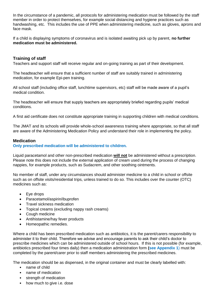In the circumstance of a pandemic, all protocols for administering medication must be followed by the staff member in order to protect themselves, for example social distancing and hygiene practices such as handwashing, etc. This includes the use of PPE when administering medicine, such as gloves, aprons and face mask.

If a child is displaying symptoms of coronavirus and is isolated awaiting pick up by parent, **no further medication must be administered.**

# **Training of staff**

Teachers and support staff will receive regular and on-going training as part of their development.

The headteacher will ensure that a sufficient number of staff are suitably trained in administering medication, for example Epi-pen training.

All school staff (including office staff, lunchtime supervisors, etc) staff will be made aware of a pupil's medical condition.

The headteacher will ensure that supply teachers are appropriately briefed regarding pupils' medical conditions.

A first aid certificate does not constitute appropriate training in supporting children with medical conditions.

The JMAT and its schools will provide whole-school awareness training where appropriate, so that all staff are aware of the Administering Medication Policy and understand their role in implementing the policy.

#### **Medication**

#### **Only prescribed medication will be administered to children.**

Liquid paracetamol and other non-prescribed medication **will not** be administered without a prescription. Please note this does not include the external application of cream used during the process of changing nappies, for example products, such as Sudacrem, and other soothing ointments.

No member of staff, under any circumstances should administer medicine to a child in school or offsite such as on offsite visits/residential trips, unless trained to do so. This includes over the counter (OTC) medicines such as:

- Eye drops
- Paracetamol/aspirin/ibuprofen
- Travel sickness medication
- Topical creams (excluding nappy rash creams)
- Cough medicine
- Antihistamine/hay fever products
- Homeopathic remedies.

Where a child has been prescribed medication such as antibiotics, it is the parent/carers responsibility to administer it to their child. Therefore we advise and encourage parents to ask their child's doctor to prescribe medicines which can be administered outside of school hours. If this is not possible (for example, antibiotics prescribed four times daily) then a medication administration form **(see Appendix 1**) must be completed by the parent/carer prior to staff members administering the prescribed medicines.

The medication should be as dispensed, in the original container and must be clearly labelled with:

- name of child
- name of medication
- strength of medication
- how much to give i.e. dose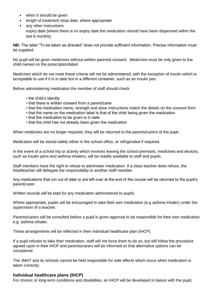- when it should be given
- length of treatment /stop date, where appropriate
- any other instructions expiry date (where there is no expiry date the medication should have been dispensed within the last 6 months)

**NB:** The label "To be taken as directed" does not provide sufficient information. Precise information must be supplied.

No pupil will be given medicines without written parental consent. Medicines must be only given to the child named on the prescription/label.

Medicines which do not meet these criteria will not be administered, with the exception of insulin which is acceptable to use if it is in date but in a different container, such as an insulin pen.

Before administering medication the member of staff should check:

- the child's identity
- that there is written consent from a parent/carer
- that the medication name, strength and dose instructions match the details on the consent form
- that the name on the medication label is that of the child being given the medication
- that the medication to be given is in date
- that the child has not already been given the medication

When medicines are no longer required, they will be returned to the parents/carers of the pupil.

Medication will be stored safely either in the school office, or refrigerated if required.

In the event of a school trip or activity which involves leaving the school premises, medicines and devices, such as insulin pens and asthma inhalers, will be readily available to staff and pupils.

Staff members have the right to refuse to administer medication. If a class teacher does refuse, the headteacher will delegate the responsibility to another staff member.

Any medications that run out of date or are left over at the end of the course will be returned to the pupil's parent/carer.

Written records will be kept for any medication administered to pupils.

Where appropriate, pupils will be encouraged to take their own medication (e.g asthma inhaler) under the supervision of a teacher.

Parents/carers will be consulted before a pupil is given approval to be responsible for their own medication e.g. asthma inhaler.

These arrangements will be reflected in their individual healthcare plan (IHCP).

If a pupil refuses to take their medication, staff will not force them to do so, but will follow the procedure agreed upon in their IHCP and parents/carers will be informed so that alternative options can be considered.

The JMAT and its schools cannot be held responsible for side effects which occur when medication is taken correctly.

#### **Individual healthcare plans (IHCP)**

For chronic or long-term conditions and disabilities, an IHCP will be developed in liaison with the pupil,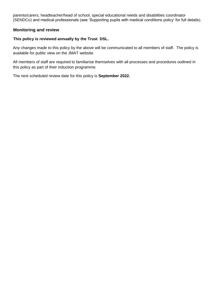parents/carers, headteacher/head of school, special educational needs and disabilities coordinator (SENDCo) and medical professionals (see 'Supporting pupils with medical conditions policy' for full details).

## **Monitoring and review**

## **This policy is reviewed annually by the Trust DSL.**

Any changes made to this policy by the above will be communicated to all members of staff. The policy is available for public view on the JMAT website.

All members of staff are required to familiarise themselves with all processes and procedures outlined in this policy as part of their induction programme.

The next scheduled review date for this policy is **September 2022.**